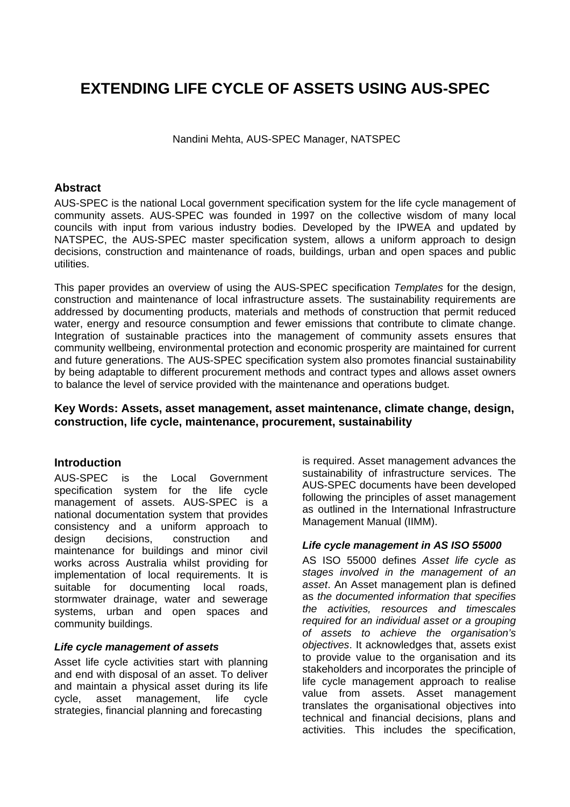# **EXTENDING LIFE CYCLE OF ASSETS USING AUS-SPEC**

Nandini Mehta, AUS-SPEC Manager, NATSPEC

#### **Abstract**

AUS-SPEC is the national Local government specification system for the life cycle management of community assets. AUS-SPEC was founded in 1997 on the collective wisdom of many local councils with input from various industry bodies. Developed by the IPWEA and updated by NATSPEC, the AUS-SPEC master specification system, allows a uniform approach to design decisions, construction and maintenance of roads, buildings, urban and open spaces and public utilities.

This paper provides an overview of using the AUS-SPEC specification *Templates* for the design, construction and maintenance of local infrastructure assets. The sustainability requirements are addressed by documenting products, materials and methods of construction that permit reduced water, energy and resource consumption and fewer emissions that contribute to climate change. Integration of sustainable practices into the management of community assets ensures that community wellbeing, environmental protection and economic prosperity are maintained for current and future generations. The AUS-SPEC specification system also promotes financial sustainability by being adaptable to different procurement methods and contract types and allows asset owners to balance the level of service provided with the maintenance and operations budget.

#### **Key Words: Assets, asset management, asset maintenance, climate change, design, construction, life cycle, maintenance, procurement, sustainability**

#### **Introduction**

AUS-SPEC is the Local Government specification system for the life cycle management of assets. AUS-SPEC is a national documentation system that provides consistency and a uniform approach to design decisions, construction and maintenance for buildings and minor civil works across Australia whilst providing for implementation of local requirements. It is suitable for documenting local roads, stormwater drainage, water and sewerage systems, urban and open spaces and community buildings.

#### *Life cycle management of assets*

Asset life cycle activities start with planning and end with disposal of an asset. To deliver and maintain a physical asset during its life cycle, asset management, life cycle strategies, financial planning and forecasting

is required. Asset management advances the sustainability of infrastructure services. The AUS-SPEC documents have been developed following the principles of asset management as outlined in the International Infrastructure Management Manual (IIMM).

#### *Life cycle management in AS ISO 55000*

AS ISO 55000 defines *Asset life cycle as stages involved in the management of an asset*. An Asset management plan is defined as *the documented information that specifies the activities, resources and timescales required for an individual asset or a grouping of assets to achieve the organisation's objectives*. It acknowledges that, assets exist to provide value to the organisation and its stakeholders and incorporates the principle of life cycle management approach to realise value from assets. Asset management translates the organisational objectives into technical and financial decisions, plans and activities. This includes the specification,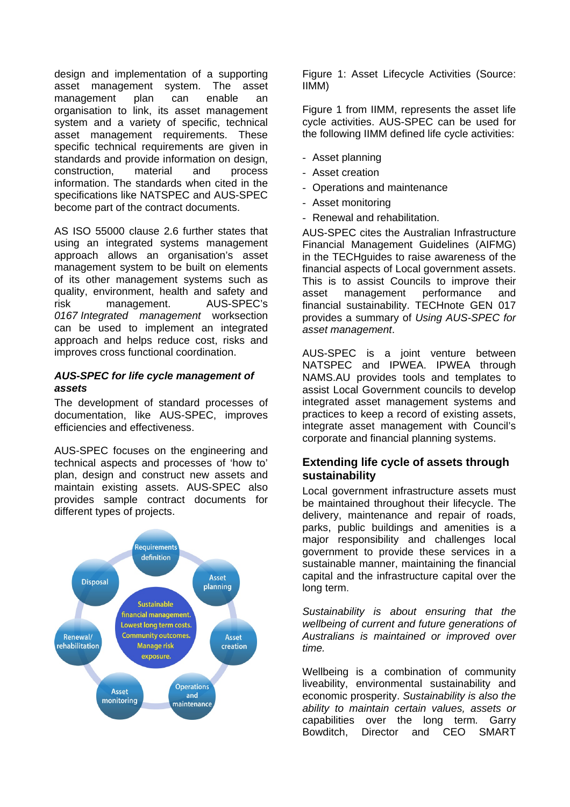design and implementation of a supporting asset management system. The asset management plan can enable an organisation to link, its asset management system and a variety of specific, technical asset management requirements. These specific technical requirements are given in standards and provide information on design, construction, material and process information. The standards when cited in the specifications like NATSPEC and AUS-SPEC become part of the contract documents.

AS ISO 55000 clause 2.6 further states that using an integrated systems management approach allows an organisation's asset management system to be built on elements of its other management systems such as quality, environment, health and safety and risk management. AUS-SPEC's *0167 Integrated management* worksection can be used to implement an integrated approach and helps reduce cost, risks and improves cross functional coordination.

#### *AUS-SPEC for life cycle management of assets*

The development of standard processes of documentation, like AUS-SPEC, improves efficiencies and effectiveness.

AUS-SPEC focuses on the engineering and technical aspects and processes of 'how to' plan, design and construct new assets and maintain existing assets. AUS-SPEC also provides sample contract documents for different types of projects.



Figure 1: Asset Lifecycle Activities (Source: IIMM)

Figure 1 from IIMM, represents the asset life cycle activities. AUS-SPEC can be used for the following IIMM defined life cycle activities:

- Asset planning
- Asset creation
- Operations and maintenance
- Asset monitoring
- Renewal and rehabilitation.

AUS-SPEC cites the Australian Infrastructure Financial Management Guidelines (AIFMG) in the TECHguides to raise awareness of the financial aspects of Local government assets. This is to assist Councils to improve their asset management performance and financial sustainability. TECHnote GEN 017 provides a summary of *Using AUS-SPEC for asset management*.

AUS-SPEC is a joint venture between NATSPEC and IPWEA. IPWEA through NAMS.AU provides tools and templates to assist Local Government councils to develop integrated asset management systems and practices to keep a record of existing assets, integrate asset management with Council's corporate and financial planning systems.

#### **Extending life cycle of assets through sustainability**

Local government infrastructure assets must be maintained throughout their lifecycle. The delivery, maintenance and repair of roads, parks, public buildings and amenities is a major responsibility and challenges local government to provide these services in a sustainable manner, maintaining the financial capital and the infrastructure capital over the long term.

*Sustainability is about ensuring that the wellbeing of current and future generations of Australians is maintained or improved over time.* 

Wellbeing is a combination of community liveability, environmental sustainability and economic prosperity. *Sustainability is also the ability to maintain certain values, assets or*  capabilities over the long term*.* Garry Bowditch, Director and CEO SMART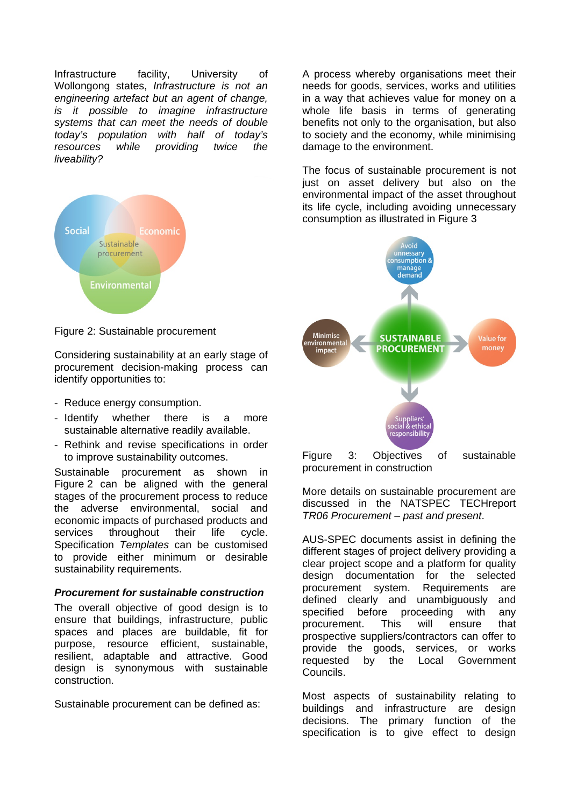Infrastructure facility, University of Wollongong states, *Infrastructure is not an engineering artefact but an agent of change, is it possible to imagine infrastructure systems that can meet the needs of double today's population with half of today's resources while providing twice the liveability?* 



Figure 2: Sustainable procurement

Considering sustainability at an early stage of procurement decision-making process can identify opportunities to:

- Reduce energy consumption.
- Identify whether there is a more sustainable alternative readily available.
- Rethink and revise specifications in order to improve sustainability outcomes.

Sustainable procurement as shown in Figure 2 can be aligned with the general stages of the procurement process to reduce the adverse environmental, social and economic impacts of purchased products and services throughout their life cycle. Specification *Templates* can be customised to provide either minimum or desirable sustainability requirements.

#### *Procurement for sustainable construction*

The overall objective of good design is to ensure that buildings, infrastructure, public spaces and places are buildable, fit for purpose, resource efficient, sustainable, resilient, adaptable and attractive. Good design is synonymous with sustainable construction.

Sustainable procurement can be defined as:

A process whereby organisations meet their needs for goods, services, works and utilities in a way that achieves value for money on a whole life basis in terms of generating benefits not only to the organisation, but also to society and the economy, while minimising damage to the environment.

The focus of sustainable procurement is not just on asset delivery but also on the environmental impact of the asset throughout its life cycle, including avoiding unnecessary consumption as illustrated in Figure 3



More details on sustainable procurement are discussed in the NATSPEC TECHreport *TR06 Procurement – past and present*.

AUS-SPEC documents assist in defining the different stages of project delivery providing a clear project scope and a platform for quality design documentation for the selected procurement system. Requirements are defined clearly and unambiguously and specified before proceeding with any procurement. This will ensure that prospective suppliers/contractors can offer to provide the goods, services, or works requested by the Local Government Councils.

Most aspects of sustainability relating to buildings and infrastructure are design decisions. The primary function of the specification is to give effect to design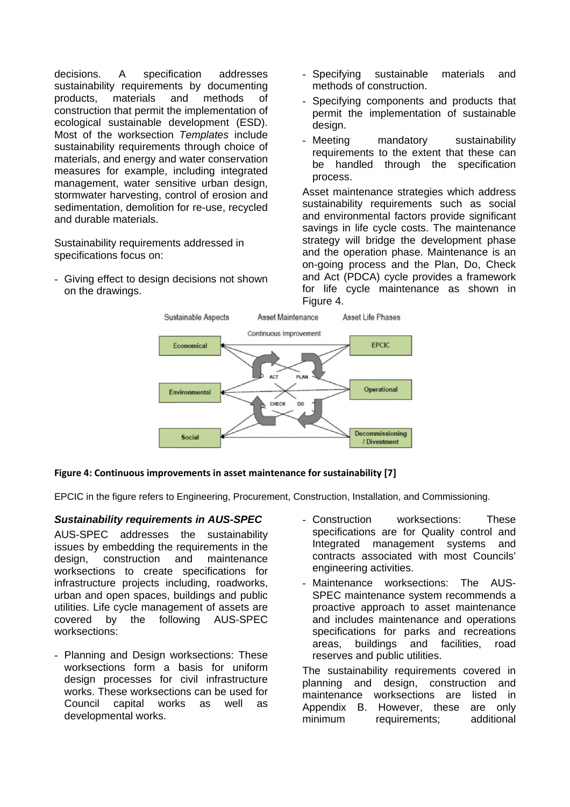decisions. A specification addresses sustainability requirements by documenting products, materials and methods of construction that permit the implementation of ecological sustainable development (ESD). Most of the worksection *Templates* include sustainability requirements through choice of materials, and energy and water conservation measures for example, including integrated management, water sensitive urban design, stormwater harvesting, control of erosion and sedimentation, demolition for re-use, recycled and durable materials.

Sustainability requirements addressed in specifications focus on:

- Giving effect to design decisions not shown on the drawings.

- Specifying sustainable materials and methods of construction.
- Specifying components and products that permit the implementation of sustainable design.
- Meeting mandatory sustainability requirements to the extent that these can be handled through the specification process.

Asset maintenance strategies which address sustainability requirements such as social and environmental factors provide significant savings in life cycle costs. The maintenance strategy will bridge the development phase and the operation phase. Maintenance is an on-going process and the Plan, Do, Check and Act (PDCA) cycle provides a framework for life cycle maintenance as shown in Figure 4.



#### **Figure 4: Continuous improvements in asset maintenance for sustainability [7]**

EPCIC in the figure refers to Engineering, Procurement, Construction, Installation, and Commissioning.

#### *Sustainability requirements in AUS-SPEC*

AUS-SPEC addresses the sustainability issues by embedding the requirements in the design, construction and maintenance worksections to create specifications for infrastructure projects including, roadworks, urban and open spaces, buildings and public utilities. Life cycle management of assets are<br>covered by the following AUS-SPEC covered by the following AUS-SPEC worksections:

- Planning and Design worksections: These worksections form a basis for uniform design processes for civil infrastructure works. These worksections can be used for Council capital works as well as developmental works.
- Construction worksections: These specifications are for Quality control and Integrated management systems and contracts associated with most Councils' engineering activities.
- Maintenance worksections: The AUS-SPEC maintenance system recommends a proactive approach to asset maintenance and includes maintenance and operations specifications for parks and recreations areas, buildings and facilities, road reserves and public utilities.

The sustainability requirements covered in planning and design, construction and maintenance worksections are listed in Appendix B. However, these are only minimum requirements; additional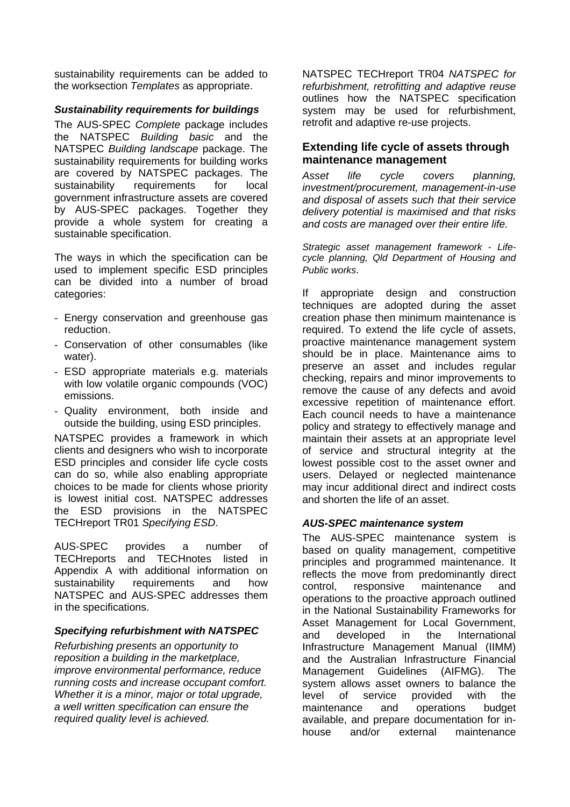sustainability requirements can be added to the worksection *Templates* as appropriate.

#### *Sustainability requirements for buildings*

The AUS-SPEC *Complete* package includes the NATSPEC *Building basic* and the NATSPEC *Building landscape* package. The sustainability requirements for building works are covered by NATSPEC packages. The sustainability requirements for local government infrastructure assets are covered by AUS-SPEC packages. Together they provide a whole system for creating a sustainable specification.

The ways in which the specification can be used to implement specific ESD principles can be divided into a number of broad categories:

- Energy conservation and greenhouse gas reduction.
- Conservation of other consumables (like water).
- ESD appropriate materials e.g. materials with low volatile organic compounds (VOC) emissions.
- Quality environment, both inside and outside the building, using ESD principles.

NATSPEC provides a framework in which clients and designers who wish to incorporate ESD principles and consider life cycle costs can do so, while also enabling appropriate choices to be made for clients whose priority is lowest initial cost. NATSPEC addresses the ESD provisions in the NATSPEC TECHreport TR01 *Specifying ESD*.

AUS-SPEC provides a number of TECHreports and TECHnotes listed in Appendix A with additional information on sustainability requirements and how NATSPEC and AUS-SPEC addresses them in the specifications.

#### *Specifying refurbishment with NATSPEC*

*Refurbishing presents an opportunity to reposition a building in the marketplace, improve environmental performance, reduce running costs and increase occupant comfort. Whether it is a minor, major or total upgrade, a well written specification can ensure the required quality level is achieved.* 

NATSPEC TECHreport TR04 *NATSPEC for refurbishment, retrofitting and adaptive reuse* outlines how the NATSPEC specification system may be used for refurbishment, retrofit and adaptive re-use projects.

#### **Extending life cycle of assets through maintenance management**

*Asset life cycle covers planning, investment/procurement, management-in-use and disposal of assets such that their service delivery potential is maximised and that risks and costs are managed over their entire life.* 

*Strategic asset management framework - Lifecycle planning, Qld Department of Housing and Public works*.

If appropriate design and construction techniques are adopted during the asset creation phase then minimum maintenance is required. To extend the life cycle of assets, proactive maintenance management system should be in place. Maintenance aims to preserve an asset and includes regular checking, repairs and minor improvements to remove the cause of any defects and avoid excessive repetition of maintenance effort. Each council needs to have a maintenance policy and strategy to effectively manage and maintain their assets at an appropriate level of service and structural integrity at the lowest possible cost to the asset owner and users. Delayed or neglected maintenance may incur additional direct and indirect costs and shorten the life of an asset.

#### *AUS-SPEC maintenance system*

The AUS-SPEC maintenance system is based on quality management, competitive principles and programmed maintenance. It reflects the move from predominantly direct control, responsive maintenance and operations to the proactive approach outlined in the National Sustainability Frameworks for Asset Management for Local Government, and developed in the International Infrastructure Management Manual (IIMM) and the Australian Infrastructure Financial Management Guidelines (AIFMG). The system allows asset owners to balance the level of service provided with the maintenance and operations budget available, and prepare documentation for inhouse and/or external maintenance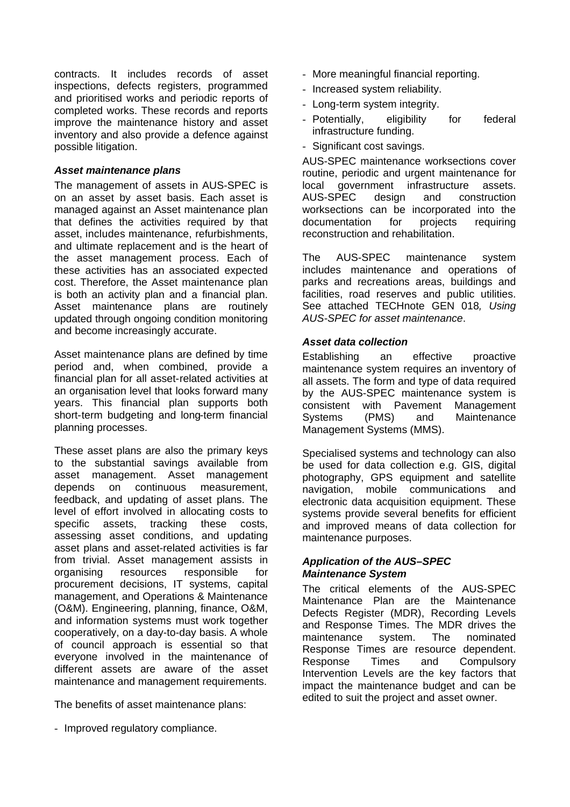contracts. It includes records of asset inspections, defects registers, programmed and prioritised works and periodic reports of completed works. These records and reports improve the maintenance history and asset inventory and also provide a defence against possible litigation.

#### *Asset maintenance plans*

The management of assets in AUS-SPEC is on an asset by asset basis. Each asset is managed against an Asset maintenance plan that defines the activities required by that asset, includes maintenance, refurbishments, and ultimate replacement and is the heart of the asset management process. Each of these activities has an associated expected cost. Therefore, the Asset maintenance plan is both an activity plan and a financial plan. Asset maintenance plans are routinely updated through ongoing condition monitoring and become increasingly accurate.

Asset maintenance plans are defined by time period and, when combined, provide a financial plan for all asset-related activities at an organisation level that looks forward many years. This financial plan supports both short-term budgeting and long-term financial planning processes.

These asset plans are also the primary keys to the substantial savings available from asset management. Asset management depends on continuous measurement, feedback, and updating of asset plans. The level of effort involved in allocating costs to specific assets, tracking these costs, assessing asset conditions, and updating asset plans and asset-related activities is far from trivial. Asset management assists in organising resources responsible for procurement decisions, IT systems, capital management, and Operations & Maintenance (O&M). Engineering, planning, finance, O&M, and information systems must work together cooperatively, on a day-to-day basis. A whole of council approach is essential so that everyone involved in the maintenance of different assets are aware of the asset maintenance and management requirements.

The benefits of asset maintenance plans:

- Improved regulatory compliance.

- More meaningful financial reporting.
- Increased system reliability.
- Long-term system integrity.
- Potentially, eligibility for federal infrastructure funding.
- Significant cost savings.

AUS-SPEC maintenance worksections cover routine, periodic and urgent maintenance for local government infrastructure assets. AUS-SPEC design and construction worksections can be incorporated into the documentation for projects requiring reconstruction and rehabilitation.

The AUS-SPEC maintenance system includes maintenance and operations of parks and recreations areas, buildings and facilities, road reserves and public utilities. See attached TECHnote GEN 018*, Using AUS-SPEC for asset maintenance*.

#### *Asset data collection*

Establishing an effective proactive maintenance system requires an inventory of all assets. The form and type of data required by the AUS-SPEC maintenance system is consistent with Pavement Management Systems (PMS) and Maintenance Management Systems (MMS).

Specialised systems and technology can also be used for data collection e.g. GIS, digital photography, GPS equipment and satellite navigation, mobile communications and electronic data acquisition equipment. These systems provide several benefits for efficient and improved means of data collection for maintenance purposes.

#### *Application of the AUS–SPEC Maintenance System*

The critical elements of the AUS-SPEC Maintenance Plan are the Maintenance Defects Register (MDR), Recording Levels and Response Times. The MDR drives the maintenance system. The nominated Response Times are resource dependent. Response Times and Compulsory Intervention Levels are the key factors that impact the maintenance budget and can be edited to suit the project and asset owner.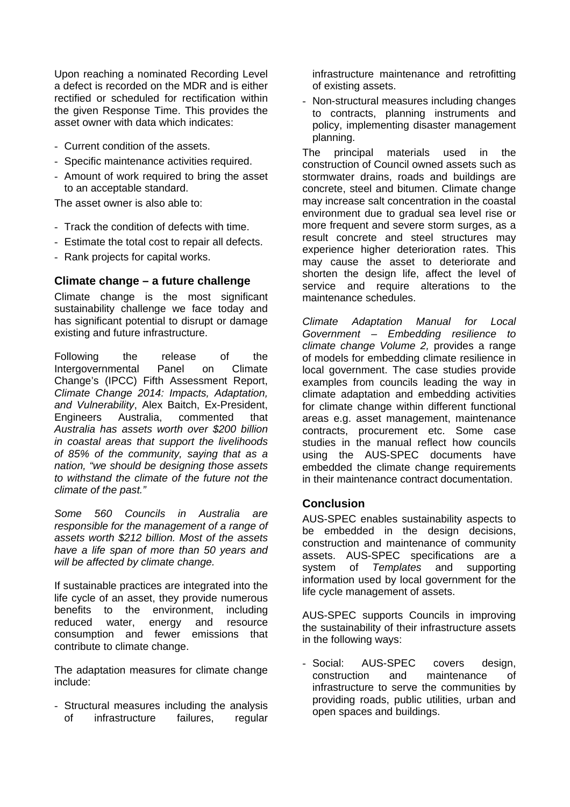Upon reaching a nominated Recording Level a defect is recorded on the MDR and is either rectified or scheduled for rectification within the given Response Time. This provides the asset owner with data which indicates:

- Current condition of the assets.
- Specific maintenance activities required.
- Amount of work required to bring the asset to an acceptable standard.

The asset owner is also able to:

- Track the condition of defects with time.
- Estimate the total cost to repair all defects.
- Rank projects for capital works.

#### **Climate change – a future challenge**

Climate change is the most significant sustainability challenge we face today and has significant potential to disrupt or damage existing and future infrastructure.

Following the release of the Intergovernmental Panel on Climate Change's (IPCC) Fifth Assessment Report, *Climate Change 2014: Impacts, Adaptation, and Vulnerability*, Alex Baitch, Ex-President, Engineers Australia, commented that *Australia has assets worth over \$200 billion in coastal areas that support the livelihoods of 85% of the community, saying that as a nation, "we should be designing those assets to withstand the climate of the future not the climate of the past."* 

*Some 560 Councils in Australia are responsible for the management of a range of assets worth \$212 billion. Most of the assets have a life span of more than 50 years and will be affected by climate change.* 

If sustainable practices are integrated into the life cycle of an asset, they provide numerous benefits to the environment, including reduced water, energy and resource consumption and fewer emissions that contribute to climate change.

The adaptation measures for climate change include:

- Structural measures including the analysis of infrastructure failures, regular infrastructure maintenance and retrofitting of existing assets.

- Non-structural measures including changes to contracts, planning instruments and policy, implementing disaster management planning.

The principal materials used in the construction of Council owned assets such as stormwater drains, roads and buildings are concrete, steel and bitumen. Climate change may increase salt concentration in the coastal environment due to gradual sea level rise or more frequent and severe storm surges, as a result concrete and steel structures may experience higher deterioration rates. This may cause the asset to deteriorate and shorten the design life, affect the level of service and require alterations to the maintenance schedules.

*Climate Adaptation Manual for Local Government – Embedding resilience to climate change Volume 2,* provides a range of models for embedding climate resilience in local government. The case studies provide examples from councils leading the way in climate adaptation and embedding activities for climate change within different functional areas e.g. asset management, maintenance contracts, procurement etc. Some case studies in the manual reflect how councils using the AUS-SPEC documents have embedded the climate change requirements in their maintenance contract documentation.

#### **Conclusion**

AUS-SPEC enables sustainability aspects to be embedded in the design decisions, construction and maintenance of community assets. AUS-SPEC specifications are a system of *Templates* and supporting information used by local government for the life cycle management of assets.

AUS-SPEC supports Councils in improving the sustainability of their infrastructure assets in the following ways:

- Social: AUS-SPEC covers design, construction and maintenance of infrastructure to serve the communities by providing roads, public utilities, urban and open spaces and buildings.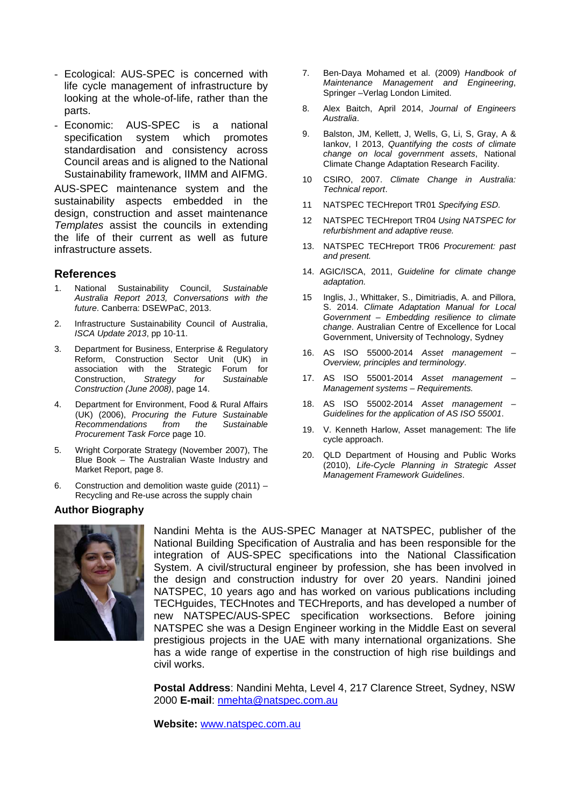- Ecological: AUS-SPEC is concerned with life cycle management of infrastructure by looking at the whole-of-life, rather than the parts.
- Economic: AUS-SPEC is a national specification system which promotes standardisation and consistency across Council areas and is aligned to the National Sustainability framework, IIMM and AIFMG.

AUS-SPEC maintenance system and the sustainability aspects embedded in the design, construction and asset maintenance *Templates* assist the councils in extending the life of their current as well as future infrastructure assets.

#### **References**

- 1. National Sustainability Council, *Sustainable Australia Report 2013, Conversations with the future*. Canberra: DSEWPaC, 2013.
- 2. Infrastructure Sustainability Council of Australia, *ISCA Update 2013*, pp 10-11.
- 3. Department for Business, Enterprise & Regulatory Reform, Construction Sector Unit (UK) in association with the Strategic Forum for Construction, *Strategy for Sustainable Construction (June 2008)*, page 14.
- 4. Department for Environment, Food & Rural Affairs (UK) (2006), *Procuring the Future Sustainable Recommendations from the Sustainable Procurement Task Force* page 10.
- 5. Wright Corporate Strategy (November 2007), The Blue Book – The Australian Waste Industry and Market Report, page 8.
- 6. Construction and demolition waste guide (2011) Recycling and Re-use across the supply chain

#### **Author Biography**



Nandini Mehta is the AUS-SPEC Manager at NATSPEC, publisher of the National Building Specification of Australia and has been responsible for the integration of AUS-SPEC specifications into the National Classification System. A civil/structural engineer by profession, she has been involved in the design and construction industry for over 20 years. Nandini joined NATSPEC, 10 years ago and has worked on various publications including TECHguides, TECHnotes and TECHreports, and has developed a number of new NATSPEC/AUS-SPEC specification worksections. Before joining NATSPEC she was a Design Engineer working in the Middle East on several prestigious projects in the UAE with many international organizations. She has a wide range of expertise in the construction of high rise buildings and civil works.

**Postal Address**: Nandini Mehta, Level 4, 217 Clarence Street, Sydney, NSW 2000 **E-mail**: nmehta@natspec.com.au

**Website:** www.natspec.com.au

- 7. Ben-Daya Mohamed et al. (2009) *Handbook of Maintenance Management and Engineering*, Springer –Verlag London Limited.
- 8. Alex Baitch, April 2014, *Journal of Engineers Australia*.
- 9. Balston, JM, Kellett, J, Wells, G, Li, S, Gray, A & Iankov, I 2013, *Quantifying the costs of climate change on local government assets*, National Climate Change Adaptation Research Facility.
- 10 CSIRO, 2007. *Climate Change in Australia: Technical report*.
- 11 NATSPEC TECHreport TR01 *Specifying ESD.*
- 12 NATSPEC TECHreport TR04 *Using NATSPEC for refurbishment and adaptive reuse.*
- 13. NATSPEC TECHreport TR06 *Procurement: past and present.*
- 14. AGIC/ISCA, 2011, *Guideline for climate change adaptation.*
- 15 Inglis, J., Whittaker, S., Dimitriadis, A. and Pillora, S. 2014. *Climate Adaptation Manual for Local Government – Embedding resilience to climate change*. Australian Centre of Excellence for Local Government, University of Technology, Sydney
- 16. AS ISO 55000-2014 *Asset management Overview, principles and terminology*.
- 17. AS ISO 55001-2014 *Asset management Management systems – Requirements.*
- 18. AS ISO 55002-2014 *Asset management Guidelines for the application of AS ISO 55001*.
- 19. V. Kenneth Harlow, Asset management: The life cycle approach.
- 20. QLD Department of Housing and Public Works (2010), *Life-Cycle Planning in Strategic Asset Management Framework Guidelines*.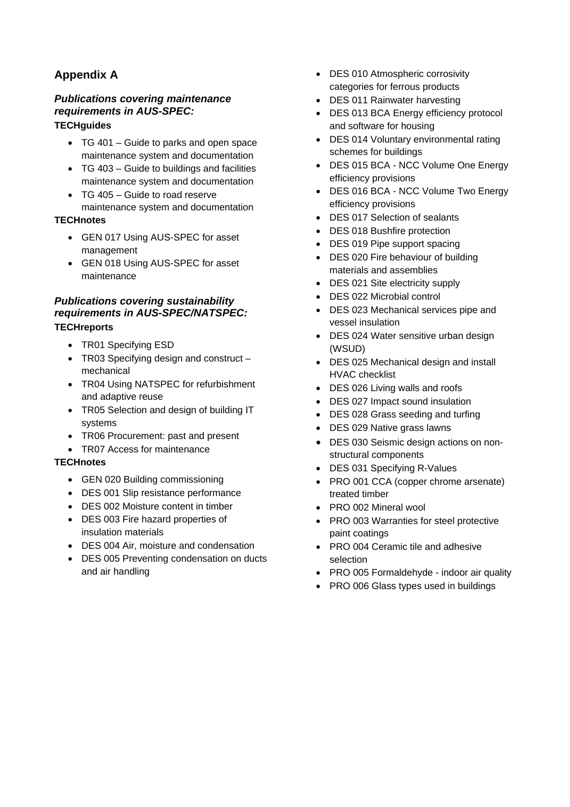## **Appendix A**

### *Publications covering maintenance requirements in AUS-SPEC:*

#### **TECHguides**

- TG 401 Guide to parks and open space maintenance system and documentation
- TG 403 Guide to buildings and facilities maintenance system and documentation
- TG 405 Guide to road reserve maintenance system and documentation

#### **TECHnotes**

- GEN 017 Using AUS-SPEC for asset management
- GEN 018 Using AUS-SPEC for asset maintenance

#### *Publications covering sustainability requirements in AUS-SPEC/NATSPEC:*  **TECHreports**

- TR01 Specifying ESD
- TR03 Specifying design and construct mechanical
- TR04 Using NATSPEC for refurbishment and adaptive reuse
- TR05 Selection and design of building IT systems
- TR06 Procurement: past and present
- TR07 Access for maintenance

#### **TECHnotes**

- GEN 020 Building commissioning
- DES 001 Slip resistance performance
- DES 002 Moisture content in timber
- DES 003 Fire hazard properties of insulation materials
- DES 004 Air, moisture and condensation
- DES 005 Preventing condensation on ducts and air handling
- DES 010 Atmospheric corrosivity categories for ferrous products
- DES 011 Rainwater harvesting
- DES 013 BCA Energy efficiency protocol and software for housing
- DES 014 Voluntary environmental rating schemes for buildings
- DES 015 BCA NCC Volume One Energy efficiency provisions
- DES 016 BCA NCC Volume Two Energy efficiency provisions
- DES 017 Selection of sealants
- DES 018 Bushfire protection
- DES 019 Pipe support spacing
- DES 020 Fire behaviour of building materials and assemblies
- DES 021 Site electricity supply
- DES 022 Microbial control
- DES 023 Mechanical services pipe and vessel insulation
- DES 024 Water sensitive urban design (WSUD)
- DES 025 Mechanical design and install HVAC checklist
- DES 026 Living walls and roofs
- DES 027 Impact sound insulation
- DES 028 Grass seeding and turfing
- DES 029 Native grass lawns
- DES 030 Seismic design actions on nonstructural components
- DES 031 Specifying R-Values
- PRO 001 CCA (copper chrome arsenate) treated timber
- PRO 002 Mineral wool
- PRO 003 Warranties for steel protective paint coatings
- PRO 004 Ceramic tile and adhesive selection
- PRO 005 Formaldehyde indoor air quality
- PRO 006 Glass types used in buildings